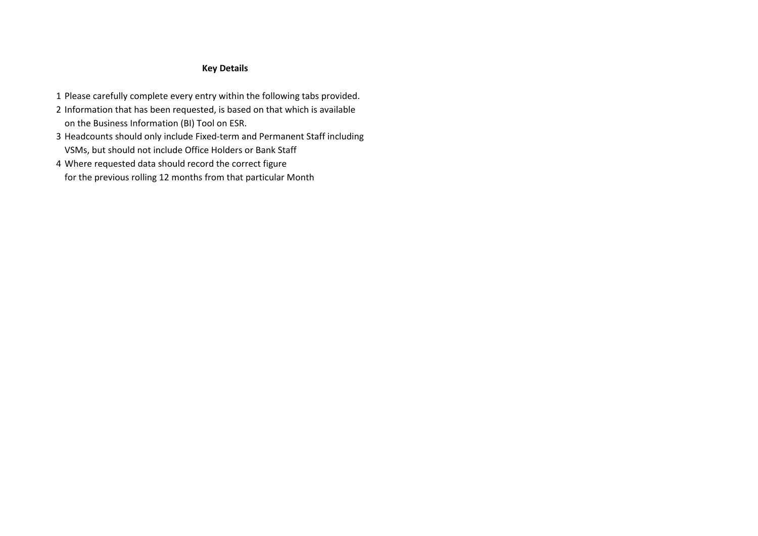## **Key Details**

- 1 Please carefully complete every entry within the following tabs provided.
- 2 Information that has been requested, is based on that which is available on the Business Information (BI) Tool on ESR.
- 3 Headcounts should only include Fixed-term and Permanent Staff including VSMs, but should not include Office Holders or Bank Staff
- 4 Where requested data should record the correct figure for the previous rolling 12 months from that particular Month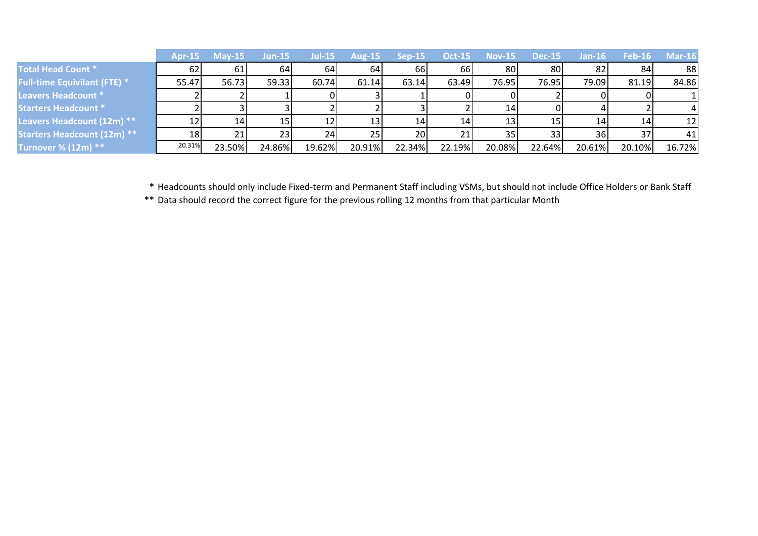|                                     |                 | <b>Apr-15 May-15</b> | $Jun-15$ | /Jul-15 | Aug-15          | $Sen-15$ | <b>Oct-15</b> | <b>Nov-15</b>   | <b>Dec-15</b> | $Jan-16$        | <b>Feb-16</b> | $Mar-16$ |
|-------------------------------------|-----------------|----------------------|----------|---------|-----------------|----------|---------------|-----------------|---------------|-----------------|---------------|----------|
| <b>Total Head Count *</b>           | 62              | 61                   | 64       | 64      | 64I             | 66I      | 66I           | 80              | 80            | 82 <sub>l</sub> | 84            | 88       |
| <b>Full-time Equivilant (FTE) *</b> | 55.47           | 56.73                | 59.33    | 60.74   | 61.14           | 63.14    | 63.49         | 76.95           | 76.95         | 79.09           | 81.19         | 84.86    |
| Leavers Headcount *                 |                 |                      |          |         |                 |          |               |                 |               |                 |               |          |
| <b>Starters Headcount *</b>         |                 |                      |          |         |                 |          |               | 14              |               |                 |               |          |
| Leavers Headcount (12m) **          |                 | 14                   | 15       | 12      | 13              | 14       | 14            | 13 <sub>l</sub> |               | 14              | 14            | 12       |
| <b>Starters Headcount (12m) **</b>  | 18 <sup>1</sup> | 21                   | 23       | 24      | 25 <sub>l</sub> | 20       |               | 35              | 33            | 36I             | 37            | 41       |
| Turnover % (12m) **                 | 20.31%          | 23.50%               | 24.86%   | 19.62%  | 20.91%          | 22.34%   | 22.19%        | 20.08%          | 22.64%        | 20.61%          | 20.10%        | 16.72%   |

**\*** Headcounts should only include Fixed-term and Permanent Staff including VSMs, but should not include Office Holders or Bank Staff

**\*\*** Data should record the correct figure for the previous rolling 12 months from that particular Month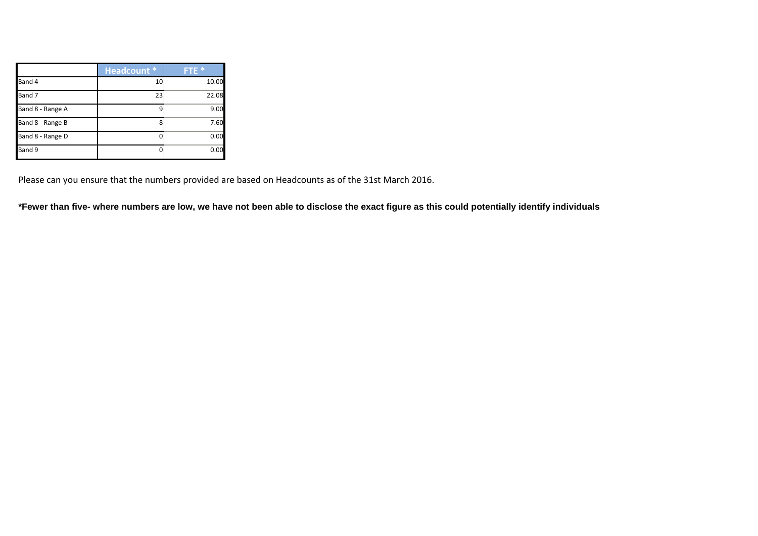|                  | <b>Headcount *</b> | <b>FTE</b> * |
|------------------|--------------------|--------------|
| Band 4           | 10                 | 10.00        |
| Band 7           | 23                 | 22.08        |
| Band 8 - Range A |                    | 9.00         |
| Band 8 - Range B | ጸ                  | 7.60         |
| Band 8 - Range D |                    | 0.00         |
| Band 9           |                    | 0.00         |

Please can you ensure that the numbers provided are based on Headcounts as of the 31st March 2016.

**\*Fewer than five- where numbers are low, we have not been able to disclose the exact figure as this could potentially identify individuals**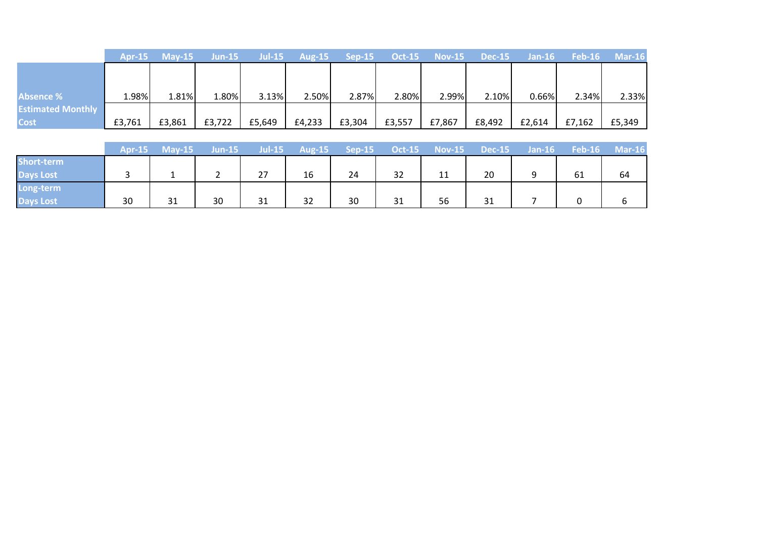|                          | <b>Apr-15</b> | $Mav-15$ | $Jun-15$ |        | Jul-15 $\overline{Aug-15}$ | Sep-15 | $Oct-15$ | $Nov-15$ | Dec-15 | $Jan-16$ |        | $\mathsf{Feb}\text{-}\mathbf{16}$ Mar-16 |
|--------------------------|---------------|----------|----------|--------|----------------------------|--------|----------|----------|--------|----------|--------|------------------------------------------|
|                          |               |          |          |        |                            |        |          |          |        |          |        |                                          |
|                          |               |          |          |        |                            |        |          |          |        |          |        |                                          |
| <b>Absence %</b>         | 1.98%         | 1.81%    | 1.80%    | 3.13%  | 2.50%                      | 2.87%  | 2.80%    | 2.99%    | 2.10%  | 0.66%    | 2.34%  | 2.33%                                    |
| <b>Estimated Monthly</b> |               |          |          |        |                            |        |          |          |        |          |        |                                          |
| <b>Cost</b>              | £3,761        | £3,861   | £3,722   | £5,649 | £4,233                     | £3,304 | £3,557   | £7,867   | £8,492 | £2,614   | £7,162 | £5,349                                   |

| <b>Short-term</b><br>20<br>27<br>32<br>16<br>61<br>64<br>24<br>11 |                  | Apr-15 | $May-15$ | <b>Jun-15</b> | Jul-15 | Aug-15 | $Sep-15$ | <b>Oct-15</b> | $Nov-15$ | $Dec-15$ | $Jan-16$ | <b>Feb-16</b> | $Mar-16$ |
|-------------------------------------------------------------------|------------------|--------|----------|---------------|--------|--------|----------|---------------|----------|----------|----------|---------------|----------|
| <b>Days Lost</b><br>Long-term                                     |                  |        |          |               |        |        |          |               |          |          |          |               |          |
|                                                                   |                  |        |          |               |        |        |          |               |          |          |          |               |          |
|                                                                   |                  |        |          |               |        |        |          |               |          |          |          |               |          |
|                                                                   | <b>Days Lost</b> | 30     | 31       | 30            | 31     | 32     | 30       | 31            | 56       | 31       |          |               |          |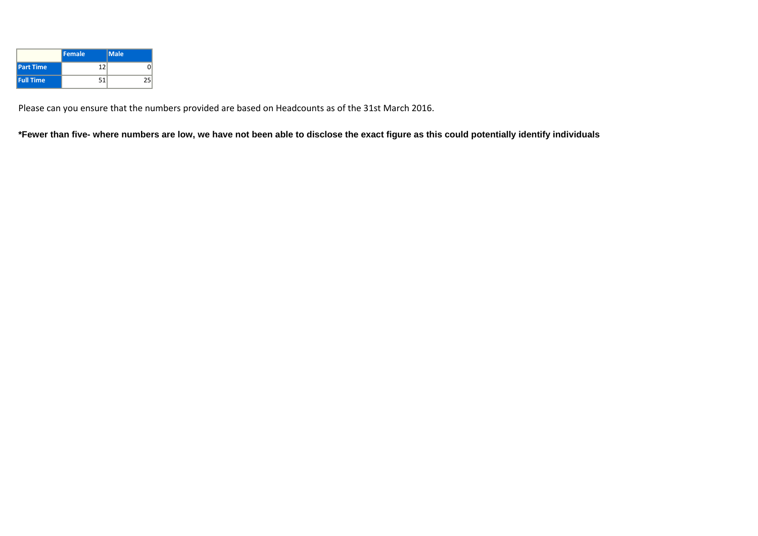|                  | <b>Female</b> | Male |
|------------------|---------------|------|
| <b>Part Time</b> | 12            |      |
| <b>Full Time</b> | 51            |      |

Please can you ensure that the numbers provided are based on Headcounts as of the 31st March 2016.

**\*Fewer than five- where numbers are low, we have not been able to disclose the exact figure as this could potentially identify individuals**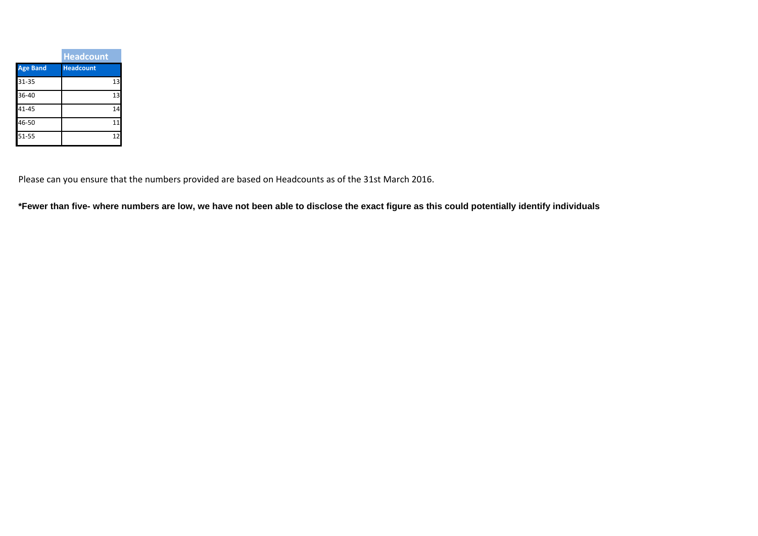|                 | <b>Headcount</b> |
|-----------------|------------------|
| <b>Age Band</b> | <b>Headcount</b> |
| 31-35           | 1 <sup>3</sup>   |
| 36-40           | 13               |
| $41 - 45$       | 14               |
| 46-50           | 11               |
| $51 - 55$       |                  |

Please can you ensure that the numbers provided are based on Headcounts as of the 31st March 2016.

**\*Fewer than five- where numbers are low, we have not been able to disclose the exact figure as this could potentially identify individuals**